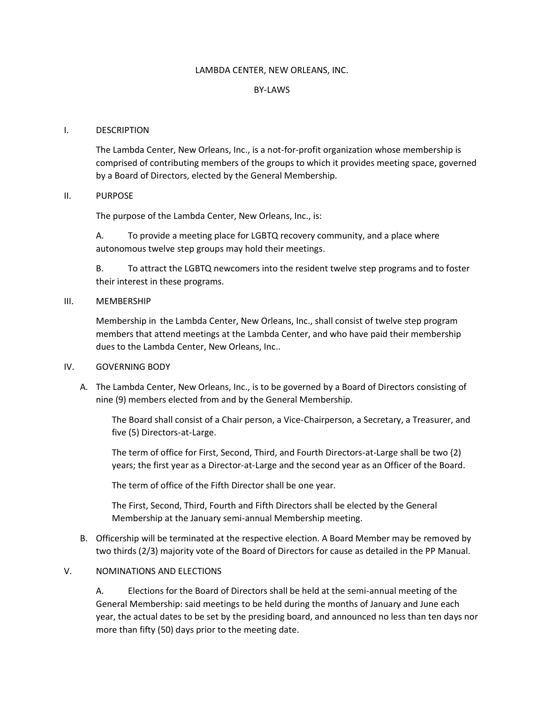## LAMBDA CENTER, NEW ORLEANS, INC.

## BY-LAWS

### I. DESCRIPTION

The Lambda Center, New Orleans, Inc., is a not-for-profit organization whose membership is comprised of contributing members of the groups to which it provides meeting space, governed by a Board of Directors, elected by the General Membership.

### II. PURPOSE

The purpose of the Lambda Center, New Orleans, Inc., is:

A. To provide a meeting place for LGBTQ recovery community, and a place where autonomous twelve step groups may hold their meetings.

B. To attract the LGBTQ newcomers into the resident twelve step programs and to foster their interest in these programs.

#### III. MEMBERSHIP

Membership in the Lambda Center, New Orleans, Inc., shall consist of twelve step program members that attend meetings at the Lambda Center, and who have paid their membership dues to the Lambda Center, New Orleans, Inc..

## IV. GOVERNING BODY

A. The Lambda Center, New Orleans, Inc., is to be governed by a Board of Directors consisting of nine (9) members elected from and by the General Membership.

The Board shall consist of a Chair person, a Vice-Chairperson, a Secretary, a Treasurer, and five (5) Directors-at-Large.

The term of office for First, Second, Third, and Fourth Directors-at-Large shall be two {2) years; the first year as a Director-at-Large and the second year as an Officer of the Board.

The term of office of the Fifth Director shall be one year.

The First, Second, Third, Fourth and Fifth Directors shall be elected by the General Membership at the January semi-annual Membership meeting.

B. Officership will be terminated at the respective election. A Board Member may be removed by two thirds (2/3) majority vote of the Board of Directors for cause as detailed in the PP Manual.

## V. NOMINATIONS AND ELECTIONS

A. Elections for the Board of Directors shall be held at the semi-annual meeting of the General Membership: said meetings to be held during the months of January and June each year, the actual dates to be set by the presiding board, and announced no less than ten days nor more than fifty (50) days prior to the meeting date.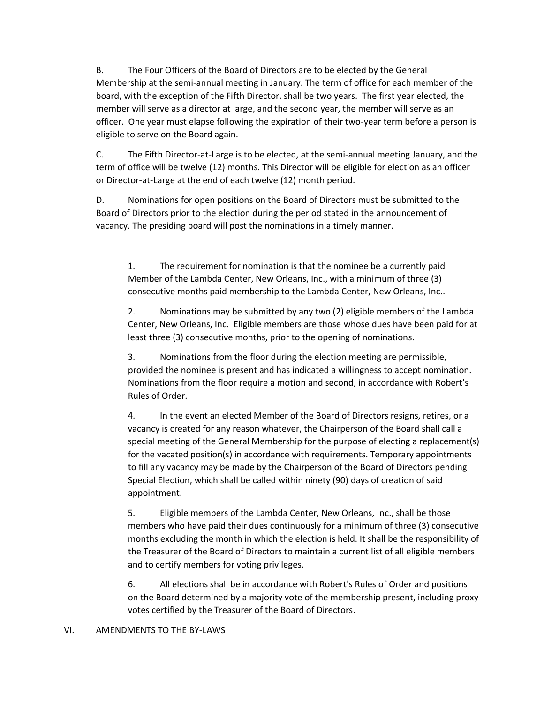B. The Four Officers of the Board of Directors are to be elected by the General Membership at the semi-annual meeting in January. The term of office for each member of the board, with the exception of the Fifth Director, shall be two years. The first year elected, the member will serve as a director at large, and the second year, the member will serve as an officer. One year must elapse following the expiration of their two-year term before a person is eligible to serve on the Board again.

C. The Fifth Director-at-Large is to be elected, at the semi-annual meeting January, and the term of office will be twelve (12) months. This Director will be eligible for election as an officer or Director-at-Large at the end of each twelve (12) month period.

D. Nominations for open positions on the Board of Directors must be submitted to the Board of Directors prior to the election during the period stated in the announcement of vacancy. The presiding board will post the nominations in a timely manner.

1. The requirement for nomination is that the nominee be a currently paid Member of the Lambda Center, New Orleans, Inc., with a minimum of three (3) consecutive months paid membership to the Lambda Center, New Orleans, Inc..

2. Nominations may be submitted by any two (2) eligible members of the Lambda Center, New Orleans, Inc. Eligible members are those whose dues have been paid for at least three (3) consecutive months, prior to the opening of nominations.

3. Nominations from the floor during the election meeting are permissible, provided the nominee is present and has indicated a willingness to accept nomination. Nominations from the floor require a motion and second, in accordance with Robert's Rules of Order.

4. In the event an elected Member of the Board of Directors resigns, retires, or a vacancy is created for any reason whatever, the Chairperson of the Board shall call a special meeting of the General Membership for the purpose of electing a replacement(s) for the vacated position(s) in accordance with requirements. Temporary appointments to fill any vacancy may be made by the Chairperson of the Board of Directors pending Special Election, which shall be called within ninety (90) days of creation of said appointment.

5. Eligible members of the Lambda Center, New Orleans, Inc., shall be those members who have paid their dues continuously for a minimum of three (3) consecutive months excluding the month in which the election is held. It shall be the responsibility of the Treasurer of the Board of Directors to maintain a current list of all eligible members and to certify members for voting privileges.

6. All elections shall be in accordance with Robert's Rules of Order and positions on the Board determined by a majority vote of the membership present, including proxy votes certified by the Treasurer of the Board of Directors.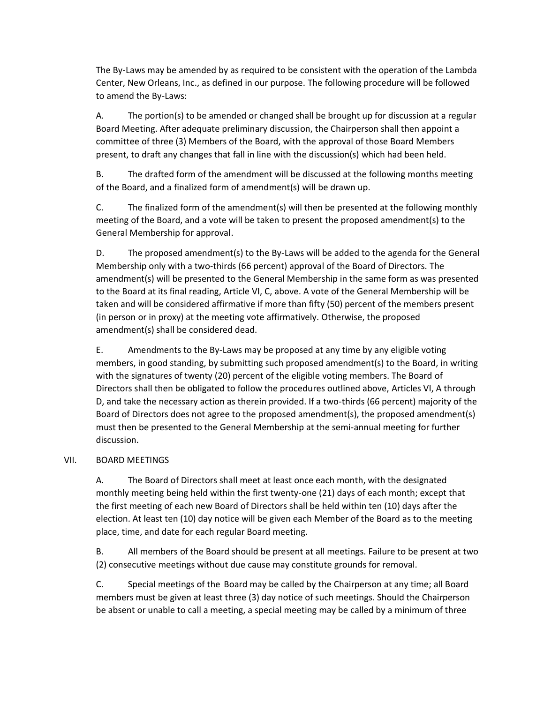The By-Laws may be amended by as required to be consistent with the operation of the Lambda Center, New Orleans, Inc., as defined in our purpose. The following procedure will be followed to amend the By-Laws:

A. The portion(s) to be amended or changed shall be brought up for discussion at a regular Board Meeting. After adequate preliminary discussion, the Chairperson shall then appoint a committee of three (3) Members of the Board, with the approval of those Board Members present, to draft any changes that fall in line with the discussion(s) which had been held.

B. The drafted form of the amendment will be discussed at the following months meeting of the Board, and a finalized form of amendment(s) will be drawn up.

C. The finalized form of the amendment(s) will then be presented at the following monthly meeting of the Board, and a vote will be taken to present the proposed amendment(s) to the General Membership for approval.

D. The proposed amendment(s) to the By-Laws will be added to the agenda for the General Membership only with a two-thirds (66 percent) approval of the Board of Directors. The amendment(s) will be presented to the General Membership in the same form as was presented to the Board at its final reading, Article VI, C, above. A vote of the General Membership will be taken and will be considered affirmative if more than fifty (50) percent of the members present (in person or in proxy) at the meeting vote affirmatively. Otherwise, the proposed amendment(s) shall be considered dead.

E. Amendments to the By-Laws may be proposed at any time by any eligible voting members, in good standing, by submitting such proposed amendment(s) to the Board, in writing with the signatures of twenty (20) percent of the eligible voting members. The Board of Directors shall then be obligated to follow the procedures outlined above, Articles VI, A through D, and take the necessary action as therein provided. If a two-thirds (66 percent) majority of the Board of Directors does not agree to the proposed amendment(s), the proposed amendment(s) must then be presented to the General Membership at the semi-annual meeting for further discussion.

# VII. BOARD MEETINGS

A. The Board of Directors shall meet at least once each month, with the designated monthly meeting being held within the first twenty-one (21) days of each month; except that the first meeting of each new Board of Directors shall be held within ten (10) days after the election. At least ten (10) day notice will be given each Member of the Board as to the meeting place, time, and date for each regular Board meeting.

B. All members of the Board should be present at all meetings. Failure to be present at two (2) consecutive meetings without due cause may constitute grounds for removal.

C. Special meetings of the Board may be called by the Chairperson at any time; all Board members must be given at least three (3) day notice of such meetings. Should the Chairperson be absent or unable to call a meeting, a special meeting may be called by a minimum of three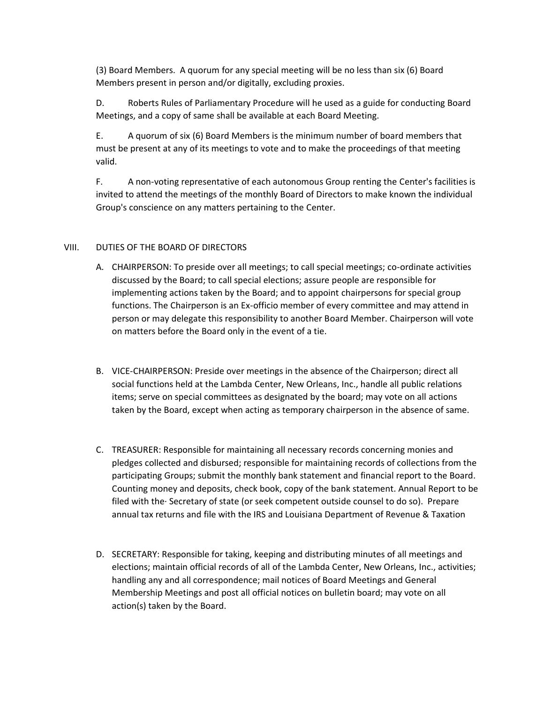(3) Board Members. A quorum for any special meeting will be no less than six (6) Board Members present in person and/or digitally, excluding proxies.

D. Roberts Rules of Parliamentary Procedure will he used as a guide for conducting Board Meetings, and a copy of same shall be available at each Board Meeting.

E. A quorum of six (6) Board Members is the minimum number of board members that must be present at any of its meetings to vote and to make the proceedings of that meeting valid.

F. A non-voting representative of each autonomous Group renting the Center's facilities is invited to attend the meetings of the monthly Board of Directors to make known the individual Group's conscience on any matters pertaining to the Center.

# VIII. DUTIES OF THE BOARD OF DIRECTORS

- A. CHAIRPERSON: To preside over all meetings; to call special meetings; co-ordinate activities discussed by the Board; to call special elections; assure people are responsible for implementing actions taken by the Board; and to appoint chairpersons for special group functions. The Chairperson is an Ex-officio member of every committee and may attend in person or may delegate this responsibility to another Board Member. Chairperson will vote on matters before the Board only in the event of a tie.
- B. VICE-CHAIRPERSON: Preside over meetings in the absence of the Chairperson; direct all social functions held at the Lambda Center, New Orleans, Inc., handle all public relations items; serve on special committees as designated by the board; may vote on all actions taken by the Board, except when acting as temporary chairperson in the absence of same.
- C. TREASURER: Responsible for maintaining all necessary records concerning monies and pledges collected and disbursed; responsible for maintaining records of collections from the participating Groups; submit the monthly bank statement and financial report to the Board. Counting money and deposits, check book, copy of the bank statement. Annual Report to be filed with the· Secretary of state (or seek competent outside counsel to do so). Prepare annual tax returns and file with the IRS and Louisiana Department of Revenue & Taxation
- D. SECRETARY: Responsible for taking, keeping and distributing minutes of all meetings and elections; maintain official records of all of the Lambda Center, New Orleans, Inc., activities; handling any and all correspondence; mail notices of Board Meetings and General Membership Meetings and post all official notices on bulletin board; may vote on all action(s) taken by the Board.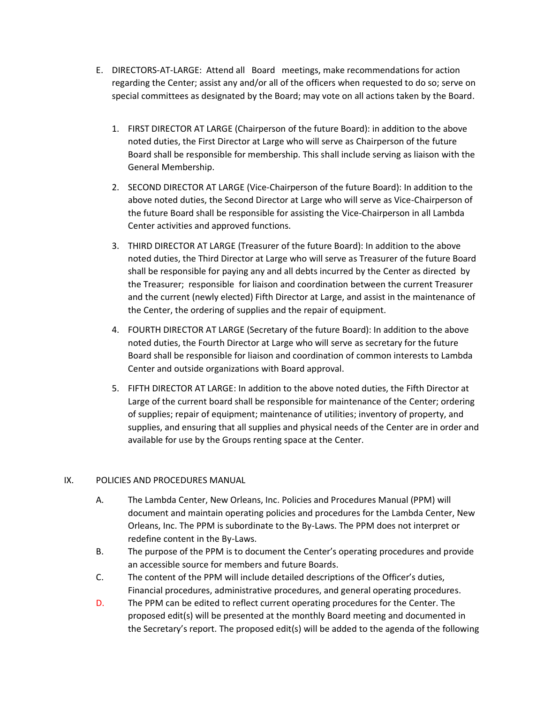- E. DIRECTORS-AT-LARGE: Attend all Board meetings, make recommendations for action regarding the Center; assist any and/or all of the officers when requested to do so; serve on special committees as designated by the Board; may vote on all actions taken by the Board.
	- 1. FIRST DIRECTOR AT LARGE (Chairperson of the future Board): in addition to the above noted duties, the First Director at Large who will serve as Chairperson of the future Board shall be responsible for membership. This shall include serving as liaison with the General Membership.
	- 2. SECOND DIRECTOR AT LARGE (Vice-Chairperson of the future Board): In addition to the above noted duties, the Second Director at Large who will serve as Vice-Chairperson of the future Board shall be responsible for assisting the Vice-Chairperson in all Lambda Center activities and approved functions.
	- 3. THIRD DIRECTOR AT LARGE (Treasurer of the future Board): In addition to the above noted duties, the Third Director at Large who will serve as Treasurer of the future Board shall be responsible for paying any and all debts incurred by the Center as directed by the Treasurer; responsible for liaison and coordination between the current Treasurer and the current (newly elected) Fifth Director at Large, and assist in the maintenance of the Center, the ordering of supplies and the repair of equipment.
	- 4. FOURTH DIRECTOR AT LARGE (Secretary of the future Board): In addition to the above noted duties, the Fourth Director at Large who will serve as secretary for the future Board shall be responsible for liaison and coordination of common interests to Lambda Center and outside organizations with Board approval.
	- 5. FIFTH DIRECTOR AT LARGE: In addition to the above noted duties, the Fifth Director at Large of the current board shall be responsible for maintenance of the Center; ordering of supplies; repair of equipment; maintenance of utilities; inventory of property, and supplies, and ensuring that all supplies and physical needs of the Center are in order and available for use by the Groups renting space at the Center.

# IX. POLICIES AND PROCEDURES MANUAL

- A. The Lambda Center, New Orleans, Inc. Policies and Procedures Manual (PPM) will document and maintain operating policies and procedures for the Lambda Center, New Orleans, Inc. The PPM is subordinate to the By-Laws. The PPM does not interpret or redefine content in the By-Laws.
- B. The purpose of the PPM is to document the Center's operating procedures and provide an accessible source for members and future Boards.
- C. The content of the PPM will include detailed descriptions of the Officer's duties, Financial procedures, administrative procedures, and general operating procedures.
- D. The PPM can be edited to reflect current operating procedures for the Center. The proposed edit(s) will be presented at the monthly Board meeting and documented in the Secretary's report. The proposed edit(s) will be added to the agenda of the following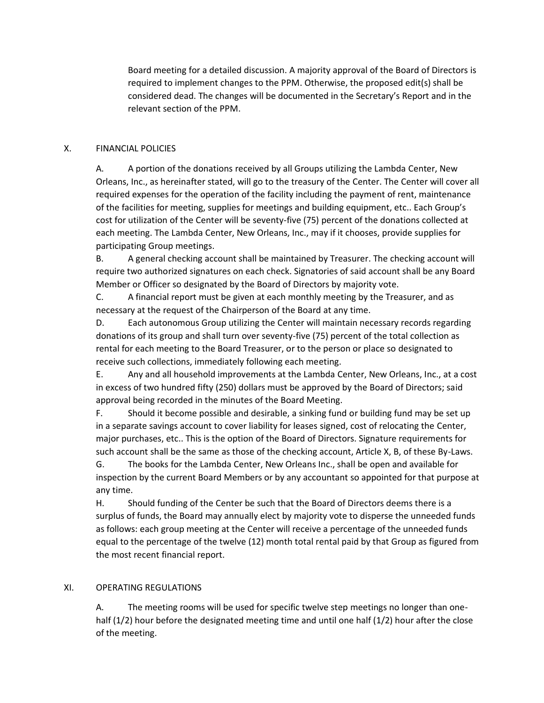Board meeting for a detailed discussion. A majority approval of the Board of Directors is required to implement changes to the PPM. Otherwise, the proposed edit(s) shall be considered dead. The changes will be documented in the Secretary's Report and in the relevant section of the PPM.

# X. FINANCIAL POLICIES

A. A portion of the donations received by all Groups utilizing the Lambda Center, New Orleans, Inc., as hereinafter stated, will go to the treasury of the Center. The Center will cover all required expenses for the operation of the facility including the payment of rent, maintenance of the facilities for meeting, supplies for meetings and building equipment, etc.. Each Group's cost for utilization of the Center will be seventy-five (75) percent of the donations collected at each meeting. The Lambda Center, New Orleans, Inc., may if it chooses, provide supplies for participating Group meetings.

B. A general checking account shall be maintained by Treasurer. The checking account will require two authorized signatures on each check. Signatories of said account shall be any Board Member or Officer so designated by the Board of Directors by majority vote.

C. A financial report must be given at each monthly meeting by the Treasurer, and as necessary at the request of the Chairperson of the Board at any time.

D. Each autonomous Group utilizing the Center will maintain necessary records regarding donations of its group and shall turn over seventy-five (75) percent of the total collection as rental for each meeting to the Board Treasurer, or to the person or place so designated to receive such collections, immediately following each meeting.

E. Any and all household improvements at the Lambda Center, New Orleans, Inc., at a cost in excess of two hundred fifty (250) dollars must be approved by the Board of Directors; said approval being recorded in the minutes of the Board Meeting.

F. Should it become possible and desirable, a sinking fund or building fund may be set up in a separate savings account to cover liability for leases signed, cost of relocating the Center, major purchases, etc.. This is the option of the Board of Directors. Signature requirements for such account shall be the same as those of the checking account, Article X, B, of these By-Laws.

G. The books for the Lambda Center, New Orleans Inc., shall be open and available for inspection by the current Board Members or by any accountant so appointed for that purpose at any time.

H. Should funding of the Center be such that the Board of Directors deems there is a surplus of funds, the Board may annually elect by majority vote to disperse the unneeded funds as follows: each group meeting at the Center will receive a percentage of the unneeded funds equal to the percentage of the twelve (12) month total rental paid by that Group as figured from the most recent financial report.

## XI. OPERATING REGULATIONS

A. The meeting rooms will be used for specific twelve step meetings no longer than onehalf (1/2) hour before the designated meeting time and until one half (1/2) hour after the close of the meeting.